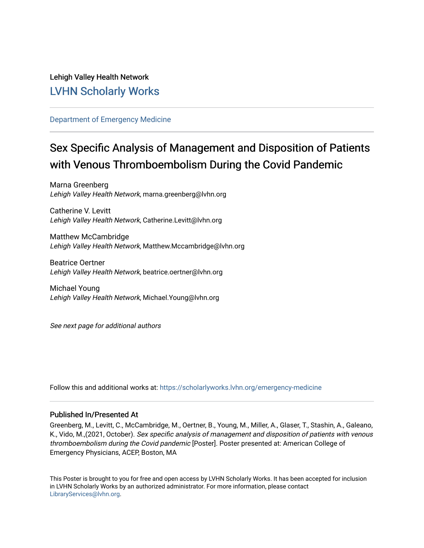### Lehigh Valley Health Network [LVHN Scholarly Works](https://scholarlyworks.lvhn.org/)

### [Department of Emergency Medicine](https://scholarlyworks.lvhn.org/emergency-medicine)

### Sex Specific Analysis of Management and Disposition of Patients with Venous Thromboembolism During the Covid Pandemic

Marna Greenberg Lehigh Valley Health Network, marna.greenberg@lvhn.org

Catherine V. Levitt Lehigh Valley Health Network, Catherine.Levitt@lvhn.org

Matthew McCambridge Lehigh Valley Health Network, Matthew.Mccambridge@lvhn.org

Beatrice Oertner Lehigh Valley Health Network, beatrice.oertner@lvhn.org

Michael Young Lehigh Valley Health Network, Michael.Young@lvhn.org

See next page for additional authors

Follow this and additional works at: [https://scholarlyworks.lvhn.org/emergency-medicine](https://scholarlyworks.lvhn.org/emergency-medicine?utm_source=scholarlyworks.lvhn.org%2Femergency-medicine%2F660&utm_medium=PDF&utm_campaign=PDFCoverPages) 

### Published In/Presented At

Greenberg, M., Levitt, C., McCambridge, M., Oertner, B., Young, M., Miller, A., Glaser, T., Stashin, A., Galeano, K., Vido, M.,(2021, October). Sex specific analysis of management and disposition of patients with venous thromboembolism during the Covid pandemic [Poster]. Poster presented at: American College of Emergency Physicians, ACEP, Boston, MA

This Poster is brought to you for free and open access by LVHN Scholarly Works. It has been accepted for inclusion in LVHN Scholarly Works by an authorized administrator. For more information, please contact [LibraryServices@lvhn.org](mailto:LibraryServices@lvhn.org).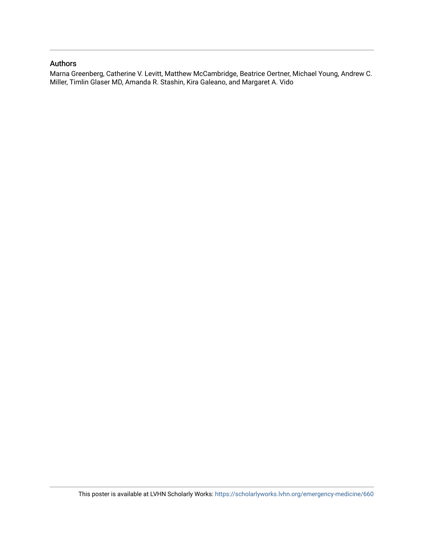### Authors

Marna Greenberg, Catherine V. Levitt, Matthew McCambridge, Beatrice Oertner, Michael Young, Andrew C. Miller, Timlin Glaser MD, Amanda R. Stashin, Kira Galeano, and Margaret A. Vido